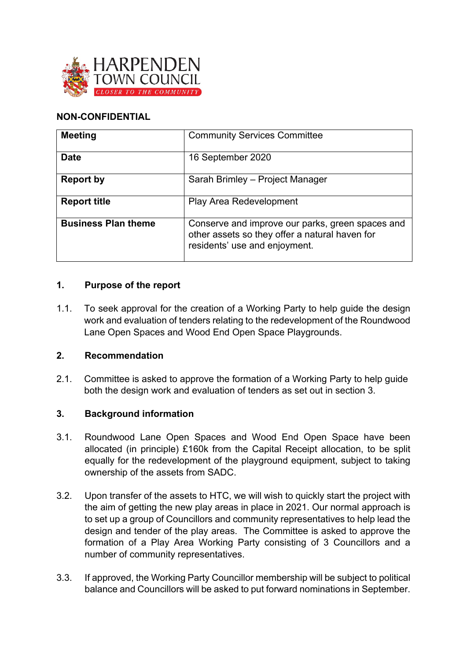

### **NON-CONFIDENTIAL**

| <b>Meeting</b>             | <b>Community Services Committee</b>                                                                                                 |
|----------------------------|-------------------------------------------------------------------------------------------------------------------------------------|
| <b>Date</b>                | 16 September 2020                                                                                                                   |
| <b>Report by</b>           | Sarah Brimley – Project Manager                                                                                                     |
| <b>Report title</b>        | Play Area Redevelopment                                                                                                             |
| <b>Business Plan theme</b> | Conserve and improve our parks, green spaces and<br>other assets so they offer a natural haven for<br>residents' use and enjoyment. |

### **1. Purpose of the report**

1.1. To seek approval for the creation of a Working Party to help guide the design work and evaluation of tenders relating to the redevelopment of the Roundwood Lane Open Spaces and Wood End Open Space Playgrounds.

#### **2. Recommendation**

2.1. Committee is asked to approve the formation of a Working Party to help guide both the design work and evaluation of tenders as set out in section 3.

#### **3. Background information**

- 3.1. Roundwood Lane Open Spaces and Wood End Open Space have been allocated (in principle) £160k from the Capital Receipt allocation, to be split equally for the redevelopment of the playground equipment, subject to taking ownership of the assets from SADC.
- 3.2. Upon transfer of the assets to HTC, we will wish to quickly start the project with the aim of getting the new play areas in place in 2021. Our normal approach is to set up a group of Councillors and community representatives to help lead the design and tender of the play areas. The Committee is asked to approve the formation of a Play Area Working Party consisting of 3 Councillors and a number of community representatives.
- 3.3. If approved, the Working Party Councillor membership will be subject to political balance and Councillors will be asked to put forward nominations in September.